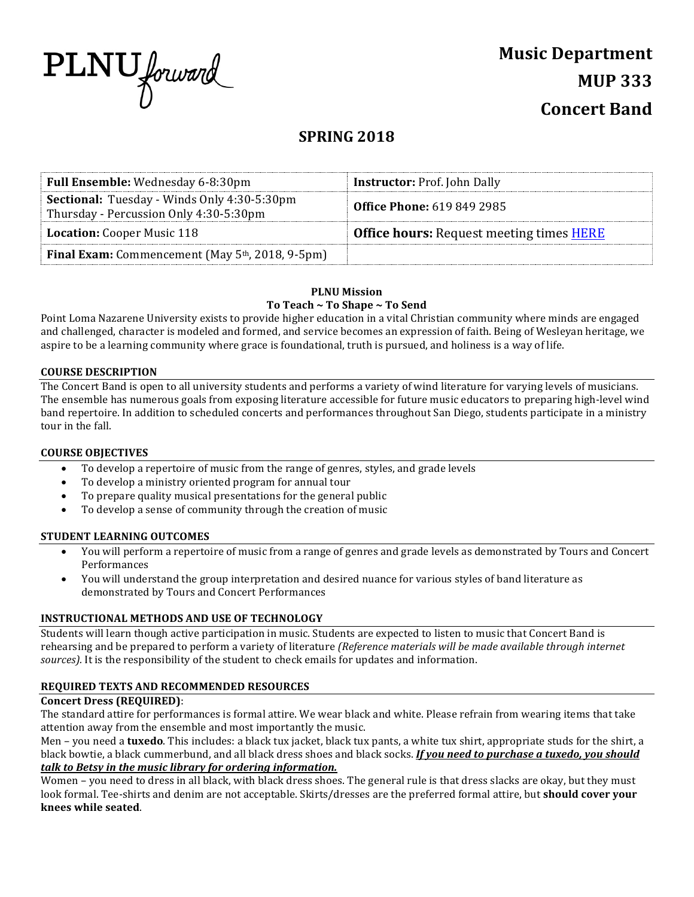

# **Music Department MUP 333 Concert Band**

# **SPRING 2018**

| Full Ensemble: Wednesday 6-8:30pm                                                            | <b>Instructor: Prof. John Dally</b>                    |
|----------------------------------------------------------------------------------------------|--------------------------------------------------------|
| <b>Sectional:</b> Tuesday - Winds Only 4:30-5:30pm<br>Thursday - Percussion Only 4:30-5:30pm | <b>Office Phone: 619 849 2985</b>                      |
| <b>Location:</b> Cooper Music 118                                                            | <b>Office hours:</b> Request meeting times <b>HERE</b> |
| <b>Final Exam:</b> Commencement (May 5 <sup>th</sup> , 2018, 9-5pm)                          |                                                        |
|                                                                                              |                                                        |

### **PLNU Mission**

#### To Teach ~ To Shape ~ To Send

Point Loma Nazarene University exists to provide higher education in a vital Christian community where minds are engaged and challenged, character is modeled and formed, and service becomes an expression of faith. Being of Wesleyan heritage, we aspire to be a learning community where grace is foundational, truth is pursued, and holiness is a way of life.

#### **COURSE DESCRIPTION**

The Concert Band is open to all university students and performs a variety of wind literature for varying levels of musicians. The ensemble has numerous goals from exposing literature accessible for future music educators to preparing high-level wind band repertoire. In addition to scheduled concerts and performances throughout San Diego, students participate in a ministry tour in the fall.

### **COURSE OBJECTIVES**

- To develop a repertoire of music from the range of genres, styles, and grade levels
- To develop a ministry oriented program for annual tour
- To prepare quality musical presentations for the general public
- To develop a sense of community through the creation of music

### **STUDENT LEARNING OUTCOMES**

- You will perform a repertoire of music from a range of genres and grade levels as demonstrated by Tours and Concert Performances
- You will understand the group interpretation and desired nuance for various styles of band literature as demonstrated by Tours and Concert Performances

### **INSTRUCTIONAL METHODS AND USE OF TECHNOLOGY**

Students will learn though active participation in music. Students are expected to listen to music that Concert Band is rehearsing and be prepared to perform a variety of literature *(Reference materials will be made available through internet* sources). It is the responsibility of the student to check emails for updates and information.

### **REQUIRED TEXTS AND RECOMMENDED RESOURCES**

#### **Concert Dress (REQUIRED)**:

The standard attire for performances is formal attire. We wear black and white. Please refrain from wearing items that take attention away from the ensemble and most importantly the music.

Men – you need a **tuxedo**. This includes: a black tux jacket, black tux pants, a white tux shirt, appropriate studs for the shirt, a black bowtie, a black cummerbund, and all black dress shoes and black socks. If you need to purchase a tuxedo, you should *talk* to Betsy in the music library for ordering information.

Women – you need to dress in all black, with black dress shoes. The general rule is that dress slacks are okay, but they must look formal. Tee-shirts and denim are not acceptable. Skirts/dresses are the preferred formal attire, but **should cover your knees while seated**.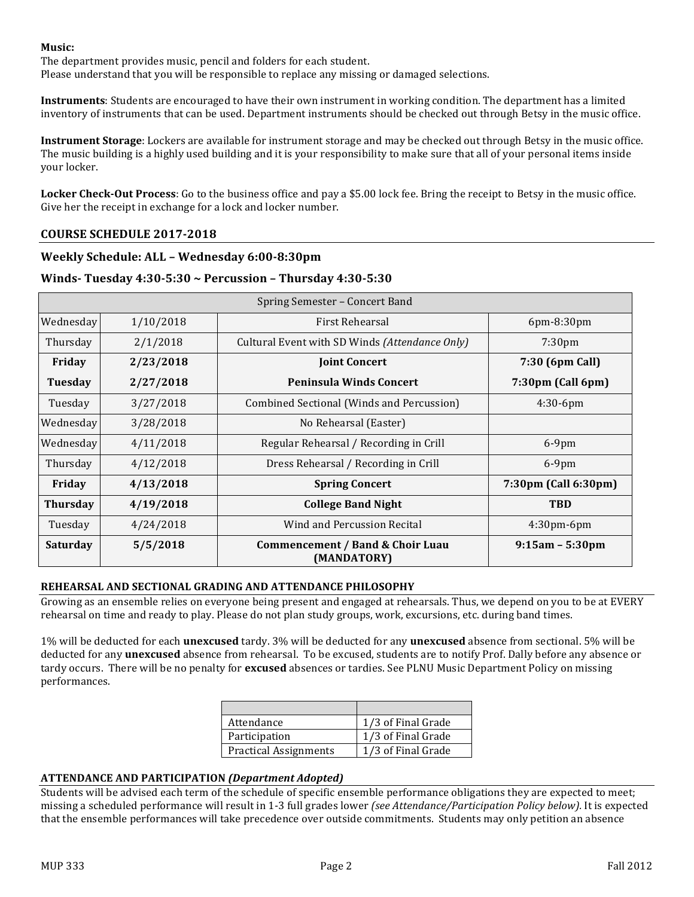### **Music:**

The department provides music, pencil and folders for each student.

Please understand that you will be responsible to replace any missing or damaged selections.

**Instruments**: Students are encouraged to have their own instrument in working condition. The department has a limited inventory of instruments that can be used. Department instruments should be checked out through Betsy in the music office.

**Instrument Storage**: Lockers are available for instrument storage and may be checked out through Betsy in the music office. The music building is a highly used building and it is your responsibility to make sure that all of your personal items inside your locker.

**Locker Check-Out Process**: Go to the business office and pay a \$5.00 lock fee. Bring the receipt to Betsy in the music office. Give her the receipt in exchange for a lock and locker number.

# **COURSE SCHEDULE 2017-2018**

### **Weekly Schedule: ALL – Wednesday 6:00-8:30pm**

# **Winds- Tuesday 4:30-5:30 ~ Percussion – Thursday 4:30-5:30**

| Spring Semester – Concert Band |           |                                                 |                      |  |
|--------------------------------|-----------|-------------------------------------------------|----------------------|--|
| Wednesday                      | 1/10/2018 | First Rehearsal                                 | 6pm-8:30pm           |  |
| Thursday                       | 2/1/2018  | Cultural Event with SD Winds (Attendance Only)  | 7:30 <sub>pm</sub>   |  |
| Friday                         | 2/23/2018 | <b>Joint Concert</b>                            | 7:30 (6pm Call)      |  |
| Tuesday                        | 2/27/2018 | <b>Peninsula Winds Concert</b>                  | 7:30pm (Call 6pm)    |  |
| Tuesday                        | 3/27/2018 | Combined Sectional (Winds and Percussion)       | $4:30-6$ pm          |  |
| Wednesday                      | 3/28/2018 | No Rehearsal (Easter)                           |                      |  |
| Wednesday                      | 4/11/2018 | Regular Rehearsal / Recording in Crill          | $6-9$ pm             |  |
| Thursday                       | 4/12/2018 | Dress Rehearsal / Recording in Crill            | $6-9$ pm             |  |
| Friday                         | 4/13/2018 | <b>Spring Concert</b>                           | 7:30pm (Call 6:30pm) |  |
| <b>Thursday</b>                | 4/19/2018 | <b>College Band Night</b>                       | <b>TBD</b>           |  |
| Tuesday                        | 4/24/2018 | Wind and Percussion Recital                     | 4:30pm-6pm           |  |
| Saturday                       | 5/5/2018  | Commencement / Band & Choir Luau<br>(MANDATORY) | $9:15am - 5:30pm$    |  |

### **REHEARSAL AND SECTIONAL GRADING AND ATTENDANCE PHILOSOPHY**

Growing as an ensemble relies on everyone being present and engaged at rehearsals. Thus, we depend on you to be at EVERY rehearsal on time and ready to play. Please do not plan study groups, work, excursions, etc. during band times.

1% will be deducted for each **unexcused** tardy. 3% will be deducted for any **unexcused** absence from sectional. 5% will be deducted for any **unexcused** absence from rehearsal. To be excused, students are to notify Prof. Dally before any absence or tardy occurs. There will be no penalty for **excused** absences or tardies. See PLNU Music Department Policy on missing performances. 

| Attendance                   | 1/3 of Final Grade |
|------------------------------|--------------------|
| Participation                | 1/3 of Final Grade |
| <b>Practical Assignments</b> | 1/3 of Final Grade |

### **ATTENDANCE AND PARTICIPATION** *(Department Adopted)*

Students will be advised each term of the schedule of specific ensemble performance obligations they are expected to meet; missing a scheduled performance will result in 1-3 full grades lower *(see Attendance/Participation Policy below)*. It is expected that the ensemble performances will take precedence over outside commitments. Students may only petition an absence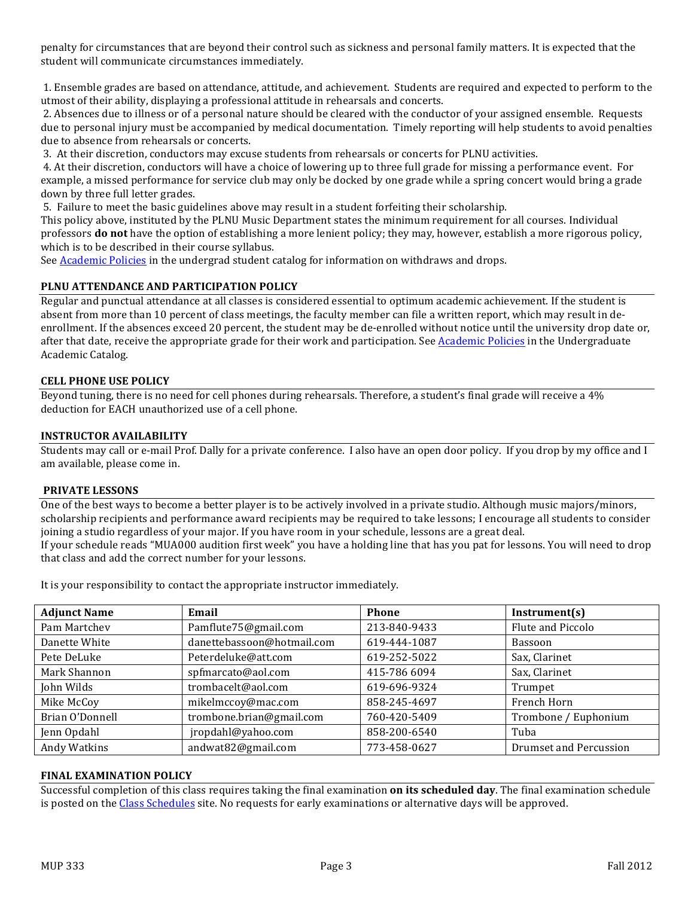penalty for circumstances that are beyond their control such as sickness and personal family matters. It is expected that the student will communicate circumstances immediately.

1. Ensemble grades are based on attendance, attitude, and achievement. Students are required and expected to perform to the utmost of their ability, displaying a professional attitude in rehearsals and concerts.

2. Absences due to illness or of a personal nature should be cleared with the conductor of your assigned ensemble. Requests due to personal injury must be accompanied by medical documentation. Timely reporting will help students to avoid penalties due to absence from rehearsals or concerts.

3. At their discretion, conductors may excuse students from rehearsals or concerts for PLNU activities.

4. At their discretion, conductors will have a choice of lowering up to three full grade for missing a performance event. For example, a missed performance for service club may only be docked by one grade while a spring concert would bring a grade down by three full letter grades.

5. Failure to meet the basic guidelines above may result in a student forfeiting their scholarship.

This policy above, instituted by the PLNU Music Department states the minimum requirement for all courses. Individual professors **do not** have the option of establishing a more lenient policy; they may, however, establish a more rigorous policy, which is to be described in their course syllabus.

See Academic Policies in the undergrad student catalog for information on withdraws and drops.

### **PLNU ATTENDANCE AND PARTICIPATION POLICY**

Regular and punctual attendance at all classes is considered essential to optimum academic achievement. If the student is absent from more than 10 percent of class meetings, the faculty member can file a written report, which may result in deenrollment. If the absences exceed 20 percent, the student may be de-enrolled without notice until the university drop date or, after that date, receive the appropriate grade for their work and participation. See Academic Policies in the Undergraduate Academic Catalog.

### **CELL PHONE USE POLICY**

Beyond tuning, there is no need for cell phones during rehearsals. Therefore, a student's final grade will receive a 4% deduction for EACH unauthorized use of a cell phone.

### **INSTRUCTOR AVAILABILITY**

Students may call or e-mail Prof. Dally for a private conference. I also have an open door policy. If you drop by my office and I am available, please come in.

### **PRIVATE LESSONS**

One of the best ways to become a better player is to be actively involved in a private studio. Although music majors/minors, scholarship recipients and performance award recipients may be required to take lessons; I encourage all students to consider joining a studio regardless of your major. If you have room in your schedule, lessons are a great deal. If your schedule reads "MUA000 audition first week" you have a holding line that has you pat for lessons. You will need to drop that class and add the correct number for your lessons.

It is your responsibility to contact the appropriate instructor immediately.

| <b>Adjunct Name</b><br>Email |                                            | <b>Phone</b>            | Instrument(s)                 |  |
|------------------------------|--------------------------------------------|-------------------------|-------------------------------|--|
| Pam Martchev                 | Pamflute75@gmail.com                       | 213-840-9433            | Flute and Piccolo             |  |
| Danette White                | danettebassoon@hotmail.com                 | 619-444-1087            | Bassoon                       |  |
| Pete DeLuke                  | Peterdeluke@att.com                        | 619-252-5022            | Sax, Clarinet                 |  |
| Mark Shannon                 | spfmarcato@aol.com                         | 415-786 6094            | Sax, Clarinet                 |  |
| John Wilds                   | trombacelt@aol.com                         | 619-696-9324<br>Trumpet |                               |  |
| Mike McCoy                   | mikelmccoy@mac.com                         | 858-245-4697            | French Horn                   |  |
| Brian O'Donnell              | trombone.brian@gmail.com                   | 760-420-5409            | Trombone / Euphonium          |  |
| Jenn Opdahl                  | jropdahl@yahoo.com<br>858-200-6540<br>Tuba |                         |                               |  |
| Andy Watkins                 | andwat82@gmail.com                         | 773-458-0627            | <b>Drumset and Percussion</b> |  |

### **FINAL EXAMINATION POLICY**

Successful completion of this class requires taking the final examination **on its scheduled day**. The final examination schedule is posted on the Class Schedules site. No requests for early examinations or alternative days will be approved.